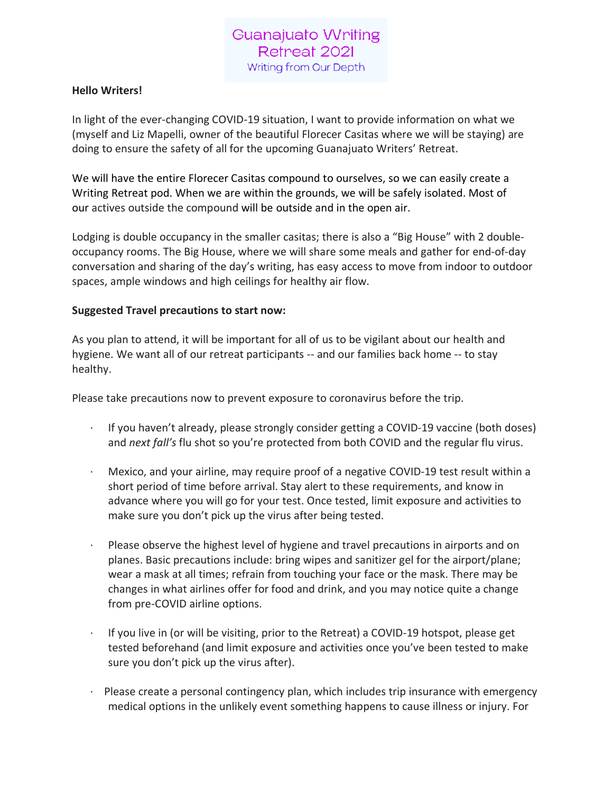# Guanajuato Writing Retreat 2021 Writing from Our Depth

#### **Hello Writers!**

In light of the ever-changing COVID-19 situation, I want to provide information on what we (myself and Liz Mapelli, owner of the beautiful Florecer Casitas where we will be staying) are doing to ensure the safety of all for the upcoming Guanajuato Writers' Retreat.

We will have the entire Florecer Casitas compound to ourselves, so we can easily create a Writing Retreat pod. When we are within the grounds, we will be safely isolated. Most of our actives outside the compound will be outside and in the open air.

Lodging is double occupancy in the smaller casitas; there is also a "Big House" with 2 doubleoccupancy rooms. The Big House, where we will share some meals and gather for end-of-day conversation and sharing of the day's writing, has easy access to move from indoor to outdoor spaces, ample windows and high ceilings for healthy air flow.

#### **Suggested Travel precautions to start now:**

As you plan to attend, it will be important for all of us to be vigilant about our health and hygiene. We want all of our retreat participants -- and our families back home -- to stay healthy.

Please take precautions now to prevent exposure to coronavirus before the trip.

- · If you haven't already, please strongly consider getting a COVID-19 vaccine (both doses) and *next fall's* flu shot so you're protected from both COVID and the regular flu virus.
- · Mexico, and your airline, may require proof of a negative COVID-19 test result within a short period of time before arrival. Stay alert to these requirements, and know in advance where you will go for your test. Once tested, limit exposure and activities to make sure you don't pick up the virus after being tested.
- Please observe the highest level of hygiene and travel precautions in airports and on planes. Basic precautions include: bring wipes and sanitizer gel for the airport/plane; wear a mask at all times; refrain from touching your face or the mask. There may be changes in what airlines offer for food and drink, and you may notice quite a change from pre-COVID airline options.
- If you live in (or will be visiting, prior to the Retreat) a COVID-19 hotspot, please get tested beforehand (and limit exposure and activities once you've been tested to make sure you don't pick up the virus after).
- Please create a personal contingency plan, which includes trip insurance with emergency medical options in the unlikely event something happens to cause illness or injury. For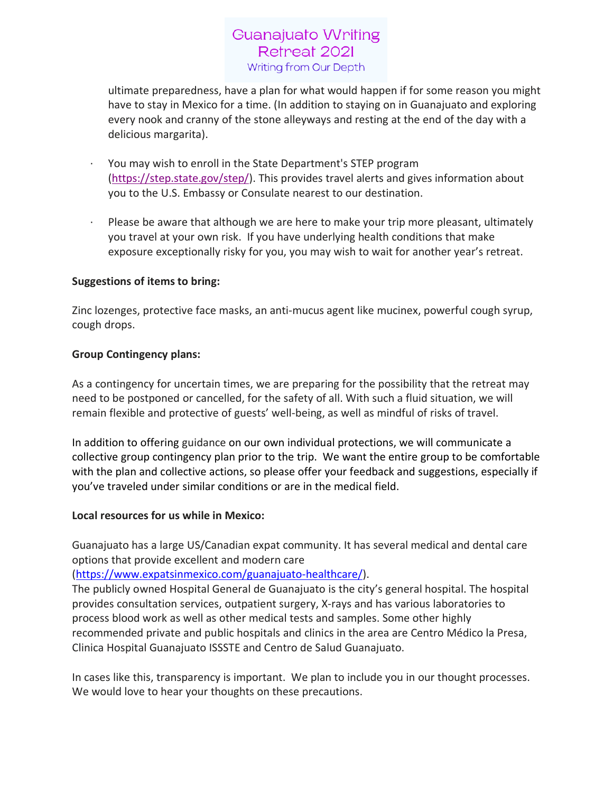# **Guanajuato Writing** Retreat 2021 Writing from Our Depth

ultimate preparedness, have a plan for what would happen if for some reason you might have to stay in Mexico for a time. (In addition to staying on in Guanajuato and exploring every nook and cranny of the stone alleyways and resting at the end of the day with a delicious margarita).

- · You may wish to enroll in the State Department's STEP program [\(https://step.state.gov/step/\)](https://nam10.safelinks.protection.outlook.com/?url=https%3A%2F%2Fstep.state.gov%2Fstep%2F&data=02%7C01%7C%7C9d5b7cbcf4ea404eedb008d7c6298712%7C84df9e7fe9f640afb435aaaaaaaaaaaa%7C1%7C0%7C637195753963278328&sdata=zC5W7FZRe3CCW%2BGbo3qGD4ezXLrTSNyTBuefysKzrQo%3D&reserved=0). This provides travel alerts and gives information about you to the U.S. Embassy or Consulate nearest to our destination.
- Please be aware that although we are here to make your trip more pleasant, ultimately you travel at your own risk. If you have underlying health conditions that make exposure exceptionally risky for you, you may wish to wait for another year's retreat.

### **Suggestions of items to bring:**

Zinc lozenges, protective face masks, an anti-mucus agent like mucinex, powerful cough syrup, cough drops.

### **Group Contingency plans:**

As a contingency for uncertain times, we are preparing for the possibility that the retreat may need to be postponed or cancelled, for the safety of all. With such a fluid situation, we will remain flexible and protective of guests' well-being, as well as mindful of risks of travel.

In addition to offering guidance on our own individual protections, we will communicate a collective group contingency plan prior to the trip. We want the entire group to be comfortable with the plan and collective actions, so please offer your feedback and suggestions, especially if you've traveled under similar conditions or are in the medical field.

### **Local resources for us while in Mexico:**

Guanajuato has a large US/Canadian expat community. It has several medical and dental care options that provide excellent and modern care

### [\(https://www.expatsinmexico.com/guanajuato-healthcare/\)](https://www.expatsinmexico.com/guanajuato-healthcare/).

The publicly owned Hospital General de Guanajuato is the city's general hospital. The hospital provides consultation services, outpatient surgery, X-rays and has various laboratories to process blood work as well as other medical tests and samples. Some other highly recommended private and public hospitals and clinics in the area are Centro Médico la Presa, Clinica Hospital Guanajuato ISSSTE and Centro de Salud Guanajuato.

In cases like this, transparency is important. We plan to include you in our thought processes. We would love to hear your thoughts on these precautions.